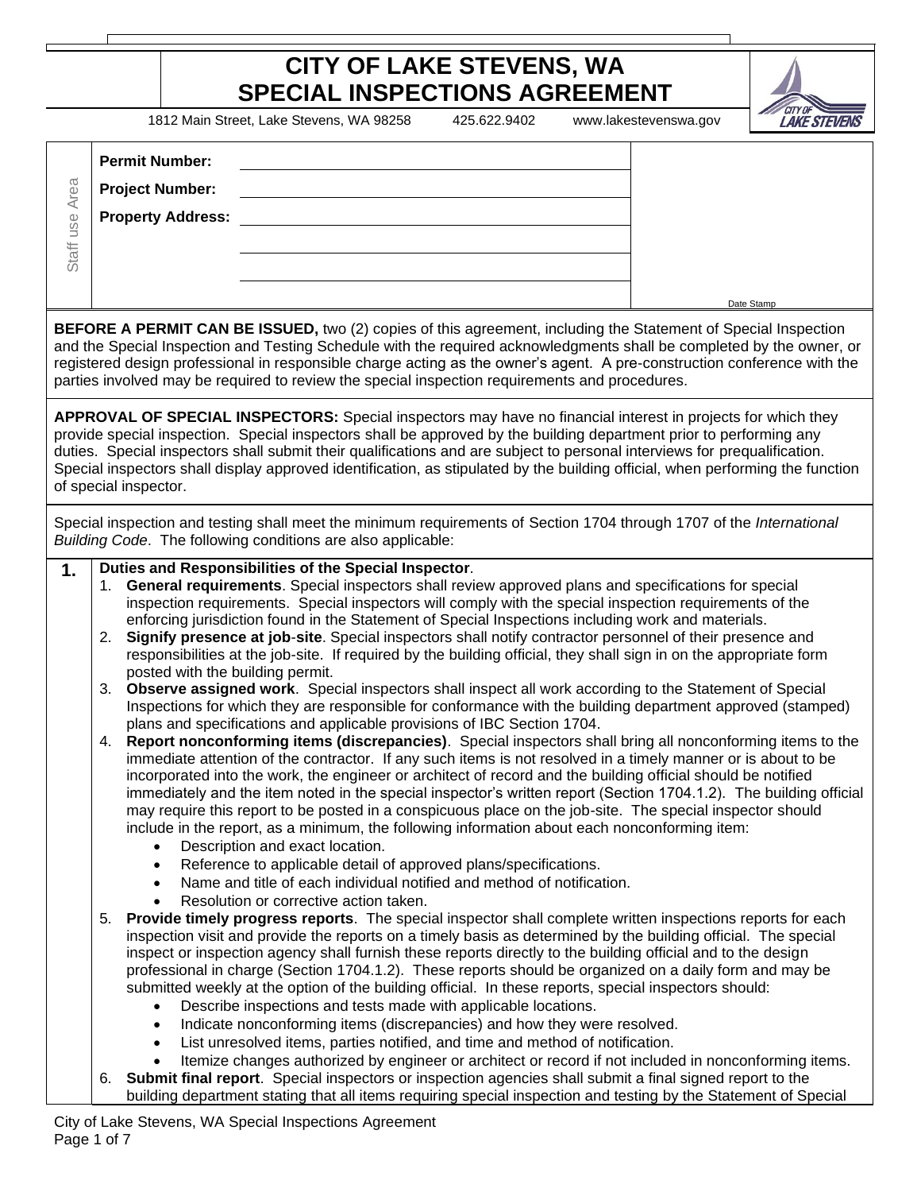## **CITY OF LAKE STEVENS, WA SPECIAL INSPECTIONS AGREEMENT**

1812 Main Street, Lake Stevens, WA 98258 425.622.9402 www.lakestevenswa.gov



| Staff use Area                                                        | <b>Permit Number:</b><br><b>Project Number:</b><br><b>Property Address:</b>                     |                                                                                                                                                                                                                                                                                                                                                                                                                                                                                                                                                                                                                                                                                                                                                                                                                                                                                                                                                                                                                                                                                                                                                                                                                                                                                                                                                                                                                                                                                                                                                                                                                                                                                                                                                                                                                                                                                                                                                                                                                                                                                                                                                                                                                                                                                                                                                                                                                                                                                                                                                                                                                                                                                                                                             |            |  |
|-----------------------------------------------------------------------|-------------------------------------------------------------------------------------------------|---------------------------------------------------------------------------------------------------------------------------------------------------------------------------------------------------------------------------------------------------------------------------------------------------------------------------------------------------------------------------------------------------------------------------------------------------------------------------------------------------------------------------------------------------------------------------------------------------------------------------------------------------------------------------------------------------------------------------------------------------------------------------------------------------------------------------------------------------------------------------------------------------------------------------------------------------------------------------------------------------------------------------------------------------------------------------------------------------------------------------------------------------------------------------------------------------------------------------------------------------------------------------------------------------------------------------------------------------------------------------------------------------------------------------------------------------------------------------------------------------------------------------------------------------------------------------------------------------------------------------------------------------------------------------------------------------------------------------------------------------------------------------------------------------------------------------------------------------------------------------------------------------------------------------------------------------------------------------------------------------------------------------------------------------------------------------------------------------------------------------------------------------------------------------------------------------------------------------------------------------------------------------------------------------------------------------------------------------------------------------------------------------------------------------------------------------------------------------------------------------------------------------------------------------------------------------------------------------------------------------------------------------------------------------------------------------------------------------------------------|------------|--|
|                                                                       |                                                                                                 | BEFORE A PERMIT CAN BE ISSUED, two (2) copies of this agreement, including the Statement of Special Inspection<br>and the Special Inspection and Testing Schedule with the required acknowledgments shall be completed by the owner, or<br>registered design professional in responsible charge acting as the owner's agent. A pre-construction conference with the<br>parties involved may be required to review the special inspection requirements and procedures.                                                                                                                                                                                                                                                                                                                                                                                                                                                                                                                                                                                                                                                                                                                                                                                                                                                                                                                                                                                                                                                                                                                                                                                                                                                                                                                                                                                                                                                                                                                                                                                                                                                                                                                                                                                                                                                                                                                                                                                                                                                                                                                                                                                                                                                                       | Date Stamp |  |
|                                                                       | of special inspector.                                                                           | APPROVAL OF SPECIAL INSPECTORS: Special inspectors may have no financial interest in projects for which they<br>provide special inspection. Special inspectors shall be approved by the building department prior to performing any<br>duties. Special inspectors shall submit their qualifications and are subject to personal interviews for prequalification.<br>Special inspectors shall display approved identification, as stipulated by the building official, when performing the function                                                                                                                                                                                                                                                                                                                                                                                                                                                                                                                                                                                                                                                                                                                                                                                                                                                                                                                                                                                                                                                                                                                                                                                                                                                                                                                                                                                                                                                                                                                                                                                                                                                                                                                                                                                                                                                                                                                                                                                                                                                                                                                                                                                                                                          |            |  |
|                                                                       |                                                                                                 | Special inspection and testing shall meet the minimum requirements of Section 1704 through 1707 of the International<br>Building Code. The following conditions are also applicable:                                                                                                                                                                                                                                                                                                                                                                                                                                                                                                                                                                                                                                                                                                                                                                                                                                                                                                                                                                                                                                                                                                                                                                                                                                                                                                                                                                                                                                                                                                                                                                                                                                                                                                                                                                                                                                                                                                                                                                                                                                                                                                                                                                                                                                                                                                                                                                                                                                                                                                                                                        |            |  |
| 1.                                                                    | 2.<br>posted with the building permit.<br>3.<br>4.<br>$\bullet$<br>$\bullet$<br>5.<br>$\bullet$ | Duties and Responsibilities of the Special Inspector.<br>General requirements. Special inspectors shall review approved plans and specifications for special<br>inspection requirements. Special inspectors will comply with the special inspection requirements of the<br>enforcing jurisdiction found in the Statement of Special Inspections including work and materials.<br>Signify presence at job-site. Special inspectors shall notify contractor personnel of their presence and<br>responsibilities at the job-site. If required by the building official, they shall sign in on the appropriate form<br>Observe assigned work. Special inspectors shall inspect all work according to the Statement of Special<br>Inspections for which they are responsible for conformance with the building department approved (stamped)<br>plans and specifications and applicable provisions of IBC Section 1704.<br>Report nonconforming items (discrepancies). Special inspectors shall bring all nonconforming items to the<br>immediate attention of the contractor. If any such items is not resolved in a timely manner or is about to be<br>incorporated into the work, the engineer or architect of record and the building official should be notified<br>immediately and the item noted in the special inspector's written report (Section 1704.1.2). The building official<br>may require this report to be posted in a conspicuous place on the job-site. The special inspector should<br>include in the report, as a minimum, the following information about each nonconforming item:<br>Description and exact location.<br>Reference to applicable detail of approved plans/specifications.<br>Name and title of each individual notified and method of notification.<br>Resolution or corrective action taken.<br>Provide timely progress reports. The special inspector shall complete written inspections reports for each<br>inspection visit and provide the reports on a timely basis as determined by the building official. The special<br>inspect or inspection agency shall furnish these reports directly to the building official and to the design<br>professional in charge (Section 1704.1.2). These reports should be organized on a daily form and may be<br>submitted weekly at the option of the building official. In these reports, special inspectors should:<br>Describe inspections and tests made with applicable locations.<br>Indicate nonconforming items (discrepancies) and how they were resolved.<br>List unresolved items, parties notified, and time and method of notification.<br>Itemize changes authorized by engineer or architect or record if not included in nonconforming items. |            |  |
|                                                                       | 6.                                                                                              | Submit final report. Special inspectors or inspection agencies shall submit a final signed report to the<br>building department stating that all items requiring special inspection and testing by the Statement of Special                                                                                                                                                                                                                                                                                                                                                                                                                                                                                                                                                                                                                                                                                                                                                                                                                                                                                                                                                                                                                                                                                                                                                                                                                                                                                                                                                                                                                                                                                                                                                                                                                                                                                                                                                                                                                                                                                                                                                                                                                                                                                                                                                                                                                                                                                                                                                                                                                                                                                                                 |            |  |
| City of Lake Stevens, WA Special Inspections Agreement<br>Page 1 of 7 |                                                                                                 |                                                                                                                                                                                                                                                                                                                                                                                                                                                                                                                                                                                                                                                                                                                                                                                                                                                                                                                                                                                                                                                                                                                                                                                                                                                                                                                                                                                                                                                                                                                                                                                                                                                                                                                                                                                                                                                                                                                                                                                                                                                                                                                                                                                                                                                                                                                                                                                                                                                                                                                                                                                                                                                                                                                                             |            |  |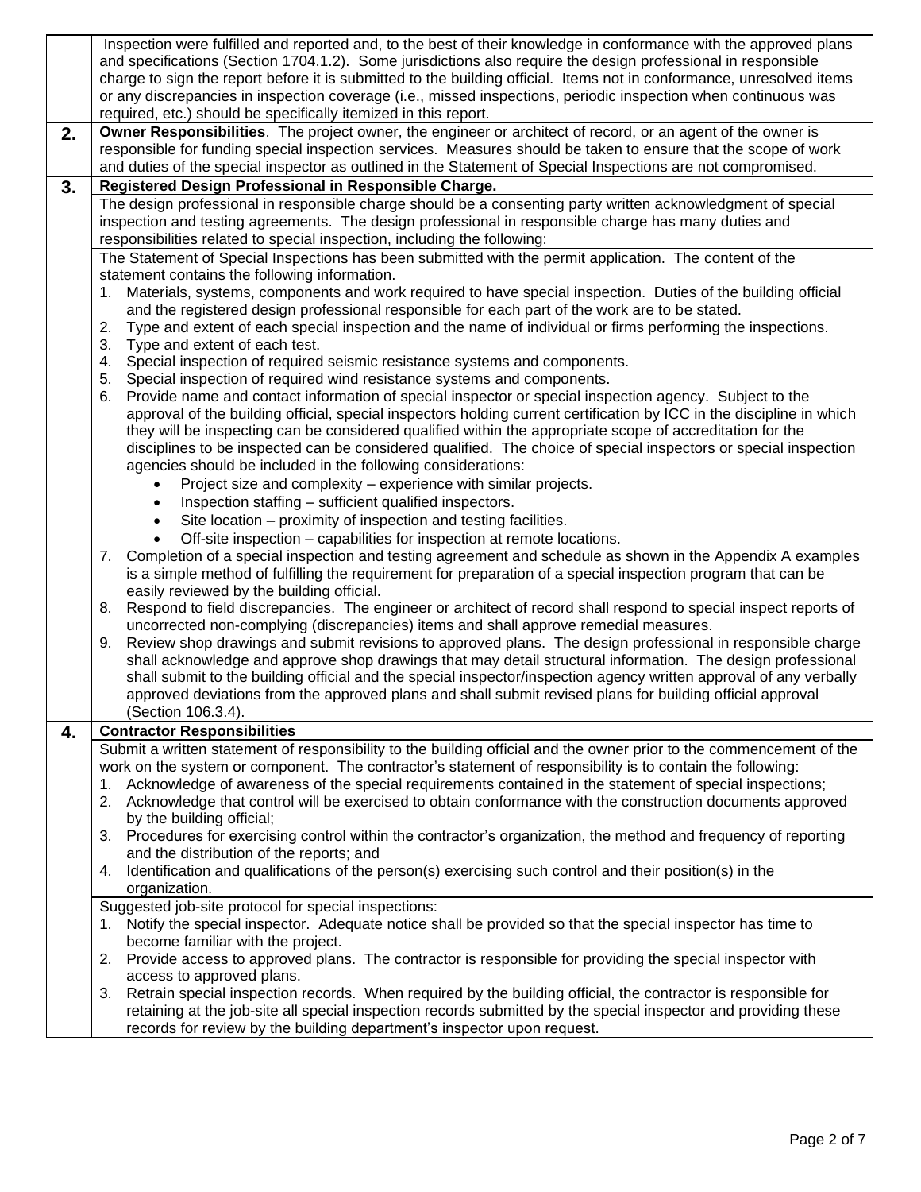|    |                                                                                                                 | Inspection were fulfilled and reported and, to the best of their knowledge in conformance with the approved plans<br>and specifications (Section 1704.1.2). Some jurisdictions also require the design professional in responsible |  |  |  |  |
|----|-----------------------------------------------------------------------------------------------------------------|------------------------------------------------------------------------------------------------------------------------------------------------------------------------------------------------------------------------------------|--|--|--|--|
|    |                                                                                                                 | charge to sign the report before it is submitted to the building official. Items not in conformance, unresolved items                                                                                                              |  |  |  |  |
|    |                                                                                                                 | or any discrepancies in inspection coverage (i.e., missed inspections, periodic inspection when continuous was                                                                                                                     |  |  |  |  |
|    |                                                                                                                 | required, etc.) should be specifically itemized in this report.                                                                                                                                                                    |  |  |  |  |
|    | 2.                                                                                                              | Owner Responsibilities. The project owner, the engineer or architect of record, or an agent of the owner is                                                                                                                        |  |  |  |  |
|    |                                                                                                                 | responsible for funding special inspection services. Measures should be taken to ensure that the scope of work                                                                                                                     |  |  |  |  |
|    |                                                                                                                 | and duties of the special inspector as outlined in the Statement of Special Inspections are not compromised.                                                                                                                       |  |  |  |  |
|    | 3.                                                                                                              | Registered Design Professional in Responsible Charge.                                                                                                                                                                              |  |  |  |  |
|    |                                                                                                                 | The design professional in responsible charge should be a consenting party written acknowledgment of special                                                                                                                       |  |  |  |  |
|    |                                                                                                                 | inspection and testing agreements. The design professional in responsible charge has many duties and                                                                                                                               |  |  |  |  |
|    |                                                                                                                 | responsibilities related to special inspection, including the following:                                                                                                                                                           |  |  |  |  |
|    |                                                                                                                 | The Statement of Special Inspections has been submitted with the permit application. The content of the                                                                                                                            |  |  |  |  |
|    |                                                                                                                 | statement contains the following information.                                                                                                                                                                                      |  |  |  |  |
|    |                                                                                                                 | Materials, systems, components and work required to have special inspection. Duties of the building official<br>1.                                                                                                                 |  |  |  |  |
|    |                                                                                                                 | and the registered design professional responsible for each part of the work are to be stated.                                                                                                                                     |  |  |  |  |
|    |                                                                                                                 | Type and extent of each special inspection and the name of individual or firms performing the inspections.<br>2.                                                                                                                   |  |  |  |  |
|    |                                                                                                                 | 3.<br>Type and extent of each test.                                                                                                                                                                                                |  |  |  |  |
|    |                                                                                                                 | Special inspection of required seismic resistance systems and components.<br>4.                                                                                                                                                    |  |  |  |  |
|    |                                                                                                                 | Special inspection of required wind resistance systems and components.<br>5.                                                                                                                                                       |  |  |  |  |
|    |                                                                                                                 | Provide name and contact information of special inspector or special inspection agency. Subject to the<br>6.                                                                                                                       |  |  |  |  |
|    |                                                                                                                 | approval of the building official, special inspectors holding current certification by ICC in the discipline in which                                                                                                              |  |  |  |  |
|    |                                                                                                                 | they will be inspecting can be considered qualified within the appropriate scope of accreditation for the                                                                                                                          |  |  |  |  |
|    | disciplines to be inspected can be considered qualified. The choice of special inspectors or special inspection |                                                                                                                                                                                                                                    |  |  |  |  |
|    |                                                                                                                 | agencies should be included in the following considerations:                                                                                                                                                                       |  |  |  |  |
|    |                                                                                                                 | Project size and complexity – experience with similar projects.                                                                                                                                                                    |  |  |  |  |
|    |                                                                                                                 | Inspection staffing - sufficient qualified inspectors.<br>$\bullet$                                                                                                                                                                |  |  |  |  |
|    |                                                                                                                 | Site location – proximity of inspection and testing facilities.                                                                                                                                                                    |  |  |  |  |
|    |                                                                                                                 | Off-site inspection – capabilities for inspection at remote locations.                                                                                                                                                             |  |  |  |  |
|    |                                                                                                                 | Completion of a special inspection and testing agreement and schedule as shown in the Appendix A examples<br>7.                                                                                                                    |  |  |  |  |
|    |                                                                                                                 | is a simple method of fulfilling the requirement for preparation of a special inspection program that can be<br>easily reviewed by the building official.                                                                          |  |  |  |  |
|    |                                                                                                                 | Respond to field discrepancies. The engineer or architect of record shall respond to special inspect reports of<br>8.                                                                                                              |  |  |  |  |
|    |                                                                                                                 | uncorrected non-complying (discrepancies) items and shall approve remedial measures.                                                                                                                                               |  |  |  |  |
|    |                                                                                                                 | Review shop drawings and submit revisions to approved plans. The design professional in responsible charge<br>9.                                                                                                                   |  |  |  |  |
|    |                                                                                                                 | shall acknowledge and approve shop drawings that may detail structural information. The design professional                                                                                                                        |  |  |  |  |
|    |                                                                                                                 | shall submit to the building official and the special inspector/inspection agency written approval of any verbally                                                                                                                 |  |  |  |  |
|    |                                                                                                                 | approved deviations from the approved plans and shall submit revised plans for building official approval                                                                                                                          |  |  |  |  |
|    |                                                                                                                 | (Section 106.3.4).                                                                                                                                                                                                                 |  |  |  |  |
|    | 4.                                                                                                              | <b>Contractor Responsibilities</b>                                                                                                                                                                                                 |  |  |  |  |
|    |                                                                                                                 | Submit a written statement of responsibility to the building official and the owner prior to the commencement of the                                                                                                               |  |  |  |  |
|    |                                                                                                                 | work on the system or component. The contractor's statement of responsibility is to contain the following:                                                                                                                         |  |  |  |  |
|    |                                                                                                                 | Acknowledge of awareness of the special requirements contained in the statement of special inspections;                                                                                                                            |  |  |  |  |
|    |                                                                                                                 | Acknowledge that control will be exercised to obtain conformance with the construction documents approved<br>2.                                                                                                                    |  |  |  |  |
|    | by the building official;                                                                                       |                                                                                                                                                                                                                                    |  |  |  |  |
| 3. |                                                                                                                 | Procedures for exercising control within the contractor's organization, the method and frequency of reporting                                                                                                                      |  |  |  |  |
|    |                                                                                                                 | and the distribution of the reports; and                                                                                                                                                                                           |  |  |  |  |
|    |                                                                                                                 | Identification and qualifications of the person(s) exercising such control and their position(s) in the<br>4.                                                                                                                      |  |  |  |  |
|    |                                                                                                                 | organization.                                                                                                                                                                                                                      |  |  |  |  |
|    |                                                                                                                 | Suggested job-site protocol for special inspections:                                                                                                                                                                               |  |  |  |  |
|    |                                                                                                                 | Notify the special inspector. Adequate notice shall be provided so that the special inspector has time to<br>1.                                                                                                                    |  |  |  |  |
|    |                                                                                                                 | become familiar with the project.                                                                                                                                                                                                  |  |  |  |  |
|    |                                                                                                                 | Provide access to approved plans. The contractor is responsible for providing the special inspector with<br>2.                                                                                                                     |  |  |  |  |
|    |                                                                                                                 | access to approved plans.                                                                                                                                                                                                          |  |  |  |  |
|    |                                                                                                                 | Retrain special inspection records. When required by the building official, the contractor is responsible for<br>3.                                                                                                                |  |  |  |  |
|    |                                                                                                                 | retaining at the job-site all special inspection records submitted by the special inspector and providing these                                                                                                                    |  |  |  |  |
|    |                                                                                                                 | records for review by the building department's inspector upon request.                                                                                                                                                            |  |  |  |  |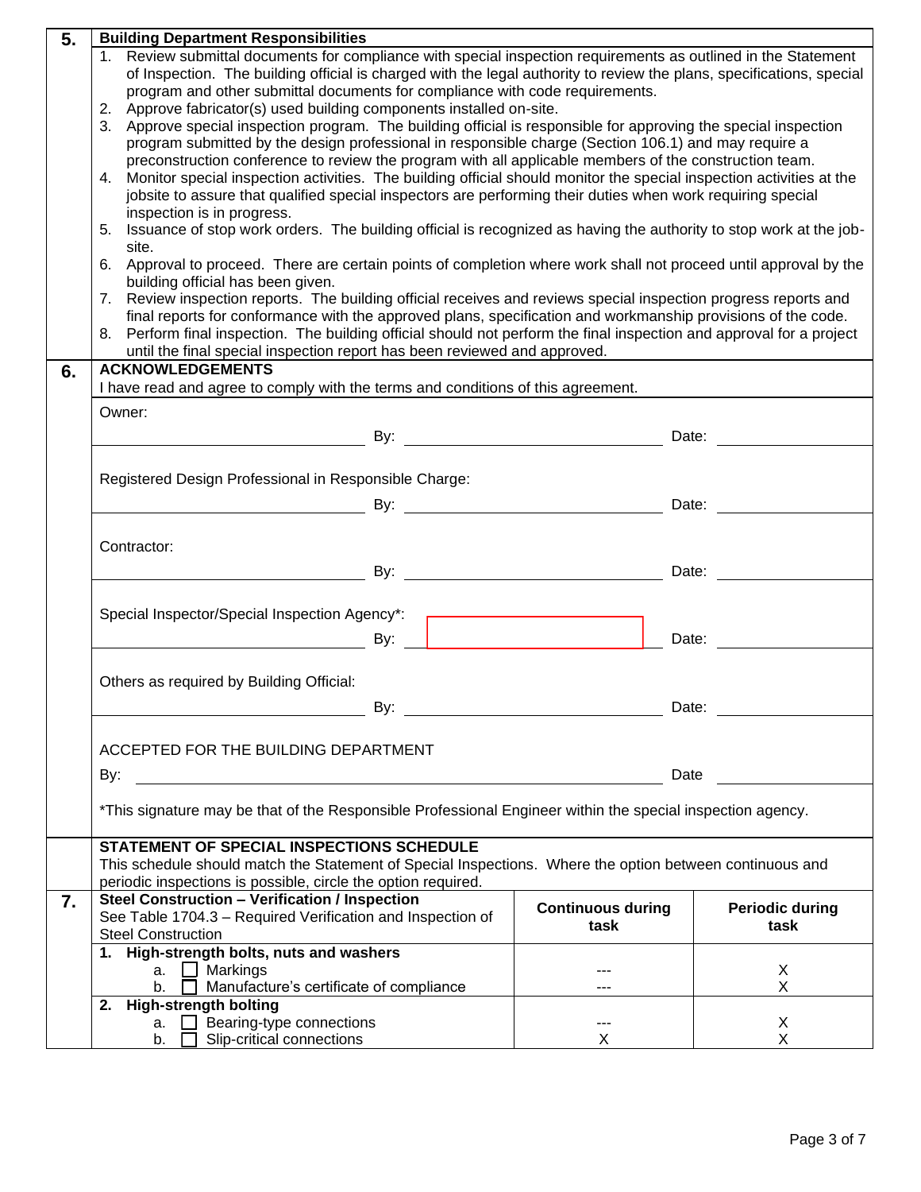| 5. | <b>Building Department Responsibilities</b>                                                                                                                  |                          |                        |  |  |
|----|--------------------------------------------------------------------------------------------------------------------------------------------------------------|--------------------------|------------------------|--|--|
|    | 1. Review submittal documents for compliance with special inspection requirements as outlined in the Statement                                               |                          |                        |  |  |
|    | of Inspection. The building official is charged with the legal authority to review the plans, specifications, special                                        |                          |                        |  |  |
|    | program and other submittal documents for compliance with code requirements.                                                                                 |                          |                        |  |  |
|    | 2. Approve fabricator(s) used building components installed on-site.                                                                                         |                          |                        |  |  |
|    | 3. Approve special inspection program. The building official is responsible for approving the special inspection                                             |                          |                        |  |  |
|    | program submitted by the design professional in responsible charge (Section 106.1) and may require a                                                         |                          |                        |  |  |
|    | preconstruction conference to review the program with all applicable members of the construction team.                                                       |                          |                        |  |  |
|    | 4. Monitor special inspection activities. The building official should monitor the special inspection activities at the                                      |                          |                        |  |  |
|    | jobsite to assure that qualified special inspectors are performing their duties when work requiring special<br>inspection is in progress.                    |                          |                        |  |  |
|    |                                                                                                                                                              |                          |                        |  |  |
|    | 5. Issuance of stop work orders. The building official is recognized as having the authority to stop work at the job-<br>site.                               |                          |                        |  |  |
|    | 6. Approval to proceed. There are certain points of completion where work shall not proceed until approval by the                                            |                          |                        |  |  |
|    | building official has been given.                                                                                                                            |                          |                        |  |  |
|    | 7. Review inspection reports. The building official receives and reviews special inspection progress reports and                                             |                          |                        |  |  |
|    | final reports for conformance with the approved plans, specification and workmanship provisions of the code.                                                 |                          |                        |  |  |
|    | 8. Perform final inspection. The building official should not perform the final inspection and approval for a project                                        |                          |                        |  |  |
|    | until the final special inspection report has been reviewed and approved.                                                                                    |                          |                        |  |  |
| 6. | <b>ACKNOWLEDGEMENTS</b>                                                                                                                                      |                          |                        |  |  |
|    | I have read and agree to comply with the terms and conditions of this agreement.                                                                             |                          |                        |  |  |
|    | Owner:                                                                                                                                                       |                          |                        |  |  |
|    | Date: 2008. 2009. 2010. 2010. 2010. 2010. 2010. 2010. 2010. 2010. 2010. 2010. 2010. 2010. 2010. 2010. 2010. 20                                               |                          |                        |  |  |
|    |                                                                                                                                                              |                          |                        |  |  |
|    |                                                                                                                                                              |                          |                        |  |  |
|    | Registered Design Professional in Responsible Charge:                                                                                                        |                          |                        |  |  |
|    |                                                                                                                                                              |                          | Date:                  |  |  |
|    |                                                                                                                                                              |                          |                        |  |  |
|    | Contractor:                                                                                                                                                  |                          |                        |  |  |
|    |                                                                                                                                                              |                          | Date:                  |  |  |
|    |                                                                                                                                                              |                          |                        |  |  |
|    | Special Inspector/Special Inspection Agency*:                                                                                                                |                          |                        |  |  |
|    |                                                                                                                                                              |                          |                        |  |  |
|    | <u>and the set of the set of the set of the set of the set of the set of the set of the set of the set of the set o</u>                                      |                          | Date:                  |  |  |
|    |                                                                                                                                                              |                          |                        |  |  |
|    | Others as required by Building Official:                                                                                                                     |                          |                        |  |  |
|    | By:                                                                                                                                                          | Date:                    |                        |  |  |
|    |                                                                                                                                                              |                          |                        |  |  |
|    |                                                                                                                                                              |                          |                        |  |  |
|    | ACCEPTED FOR THE BUILDING DEPARTMENT                                                                                                                         |                          |                        |  |  |
|    | By:<br><u> 1980 - Jan Samuel Barbara, martin din shekara 1980 - André Samuel Barbara, mashrida a shekara 1980 - André Sa</u>                                 | Date                     |                        |  |  |
|    |                                                                                                                                                              |                          |                        |  |  |
|    | *This signature may be that of the Responsible Professional Engineer within the special inspection agency.                                                   |                          |                        |  |  |
|    |                                                                                                                                                              |                          |                        |  |  |
|    | <b>STATEMENT OF SPECIAL INSPECTIONS SCHEDULE</b><br>This schedule should match the Statement of Special Inspections. Where the option between continuous and |                          |                        |  |  |
|    | periodic inspections is possible, circle the option required.                                                                                                |                          |                        |  |  |
| 7. | <b>Steel Construction - Verification / Inspection</b>                                                                                                        |                          |                        |  |  |
|    | See Table 1704.3 - Required Verification and Inspection of                                                                                                   | <b>Continuous during</b> | <b>Periodic during</b> |  |  |
|    | <b>Steel Construction</b>                                                                                                                                    | task                     | task                   |  |  |
|    | 1. High-strength bolts, nuts and washers                                                                                                                     |                          |                        |  |  |
|    | a. $\Box$ Markings                                                                                                                                           |                          | X                      |  |  |
|    | Manufacture's certificate of compliance<br>b.                                                                                                                |                          | X                      |  |  |
|    | <b>High-strength bolting</b><br>2.                                                                                                                           |                          |                        |  |  |
|    | Bearing-type connections<br>a.  □                                                                                                                            | ---                      | X                      |  |  |
|    | Slip-critical connections<br>b.                                                                                                                              | X                        | X                      |  |  |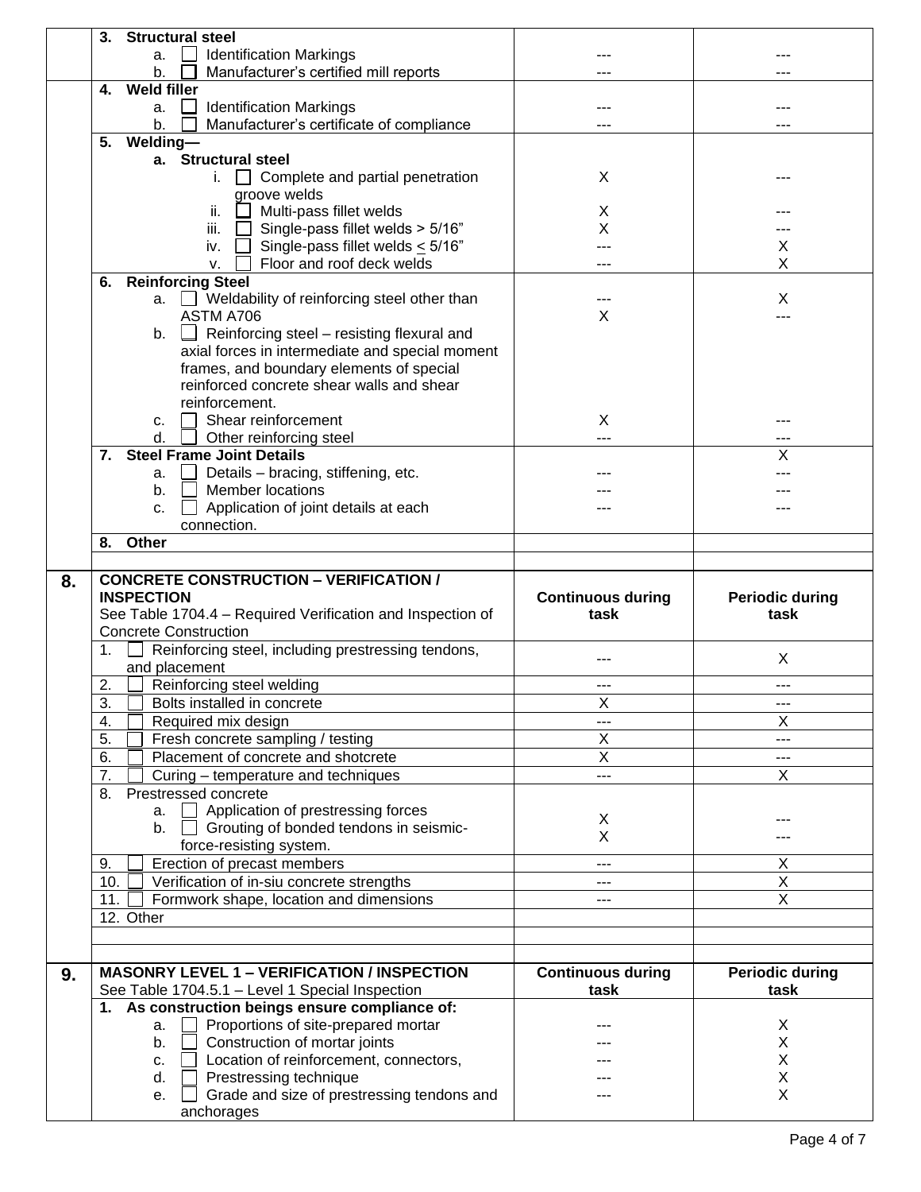|    | <b>Structural steel</b><br>3.                                                     |                                |                        |
|----|-----------------------------------------------------------------------------------|--------------------------------|------------------------|
|    | <b>Identification Markings</b><br>а.                                              |                                |                        |
|    | Manufacturer's certified mill reports<br>b.                                       |                                |                        |
|    | <b>Weld filler</b><br>4.                                                          |                                |                        |
|    | <b>Identification Markings</b><br>$\mathsf{L}$<br>a.                              |                                |                        |
|    | Manufacturer's certificate of compliance<br>b.                                    | ---                            |                        |
|    | Welding-<br>5.                                                                    |                                |                        |
|    | a. Structural steel                                                               |                                |                        |
|    | $i.$ $\Box$ Complete and partial penetration                                      | X                              |                        |
|    | groove welds                                                                      |                                |                        |
|    | ii.<br>$\Box$ Multi-pass fillet welds                                             | X                              |                        |
|    | iii. $\Box$ Single-pass fillet welds > 5/16"                                      | X                              |                        |
|    |                                                                                   |                                |                        |
|    | $\Box$ Single-pass fillet welds $\leq 5/16$ "<br>iv.<br>Floor and roof deck welds |                                | X                      |
|    | v.                                                                                |                                | X                      |
|    | <b>Reinforcing Steel</b><br>6.                                                    |                                |                        |
|    | a.   Weldability of reinforcing steel other than                                  |                                | X                      |
|    | ASTM A706                                                                         | X                              |                        |
|    | b. $\Box$ Reinforcing steel – resisting flexural and                              |                                |                        |
|    | axial forces in intermediate and special moment                                   |                                |                        |
|    | frames, and boundary elements of special                                          |                                |                        |
|    | reinforced concrete shear walls and shear                                         |                                |                        |
|    | reinforcement.                                                                    |                                |                        |
|    | Shear reinforcement<br>c.                                                         | X                              |                        |
|    | d.<br>Other reinforcing steel                                                     | ---                            |                        |
|    | <b>Steel Frame Joint Details</b><br>7.                                            |                                | х                      |
|    | Details - bracing, stiffening, etc.<br>a.                                         |                                |                        |
|    | <b>Member locations</b><br>b.                                                     |                                |                        |
|    | Application of joint details at each<br>c.                                        |                                |                        |
|    | connection.                                                                       |                                |                        |
|    | Other<br>8.                                                                       |                                |                        |
|    |                                                                                   |                                |                        |
|    |                                                                                   |                                |                        |
| 8. | <b>CONCRETE CONSTRUCTION - VERIFICATION /</b>                                     |                                |                        |
|    | <b>INSPECTION</b>                                                                 | <b>Continuous during</b>       | <b>Periodic during</b> |
|    | See Table 1704.4 - Required Verification and Inspection of                        | task                           | task                   |
|    | <b>Concrete Construction</b>                                                      |                                |                        |
|    | Reinforcing steel, including prestressing tendons,<br>1.                          | ---                            |                        |
|    | and placement                                                                     |                                | X                      |
|    | Reinforcing steel welding<br>2.                                                   | ---                            | ---                    |
|    | $\overline{3}$ .<br>Bolts installed in concrete                                   | X                              | ---                    |
|    | 4.                                                                                | ---                            | X                      |
|    | Required mix design<br>5.                                                         | Χ                              | ---                    |
|    | Fresh concrete sampling / testing                                                 |                                | ---                    |
|    | 6.<br>Placement of concrete and shotcrete<br>$\overline{7}$ .                     | $\overline{\mathsf{x}}$<br>--- | X                      |
|    | Curing - temperature and techniques<br>8.                                         |                                |                        |
|    | Prestressed concrete                                                              |                                |                        |
|    | Application of prestressing forces<br>a.                                          | X                              |                        |
|    | Grouting of bonded tendons in seismic-<br>b.                                      | X                              |                        |
|    | force-resisting system.                                                           |                                |                        |
|    | Erection of precast members<br>9.                                                 | ---                            | X                      |
|    | 10.<br>Verification of in-siu concrete strengths                                  | ---                            | $\overline{X}$         |
|    | Formwork shape, location and dimensions<br>11.                                    | ---                            | $\overline{X}$         |
|    | 12. Other                                                                         |                                |                        |
|    |                                                                                   |                                |                        |
|    |                                                                                   |                                |                        |
| 9. | <b>MASONRY LEVEL 1 - VERIFICATION / INSPECTION</b>                                | <b>Continuous during</b>       | <b>Periodic during</b> |
|    | See Table 1704.5.1 - Level 1 Special Inspection                                   | task                           | task                   |
|    | 1. As construction beings ensure compliance of:                                   |                                |                        |
|    | Proportions of site-prepared mortar<br>a.                                         |                                | X                      |
|    | Construction of mortar joints<br>b.                                               |                                | X                      |
|    | Location of reinforcement, connectors,<br>c.                                      |                                | X                      |
|    | Prestressing technique<br>d.                                                      |                                | Χ                      |
|    | Grade and size of prestressing tendons and<br>е.<br>anchorages                    |                                | $\mathsf{X}$           |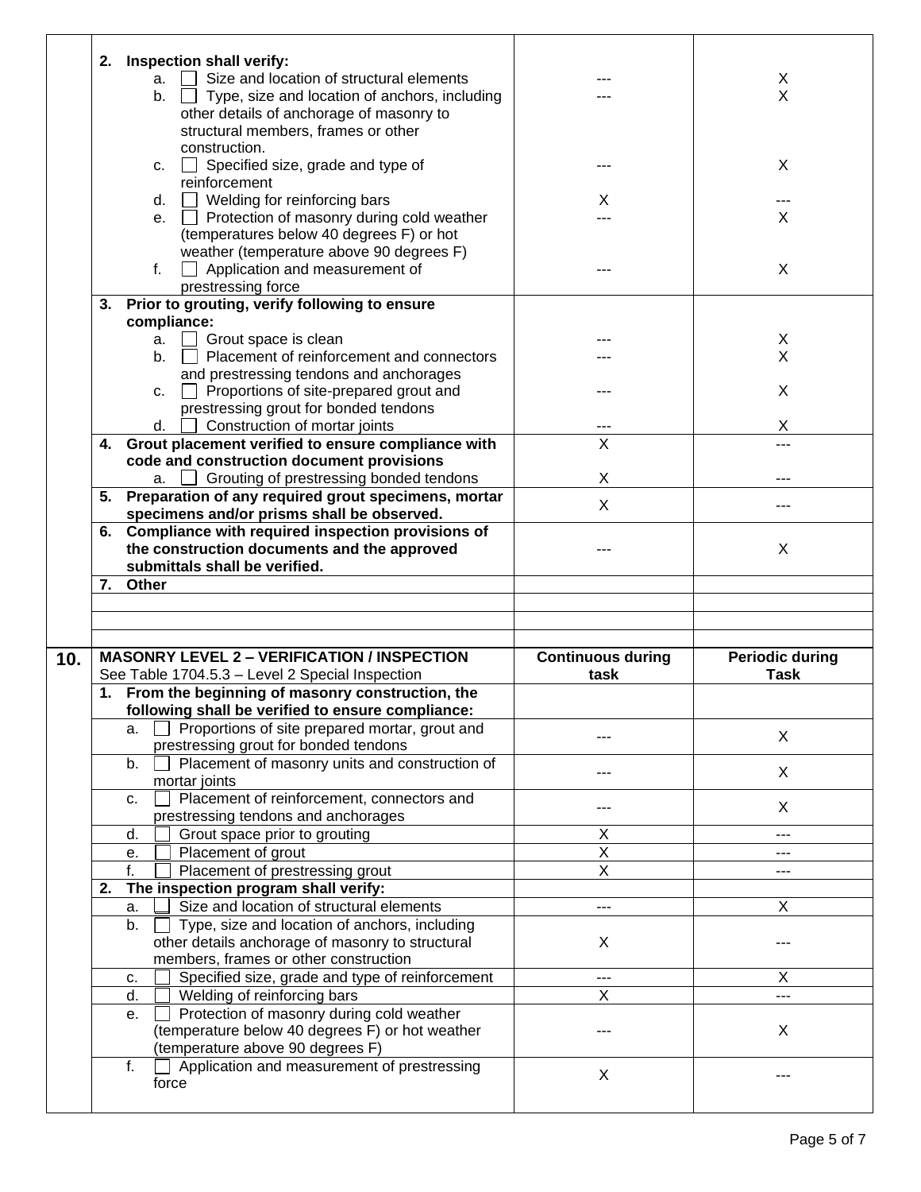|     | 2. | Inspection shall verify:                                   |                          |                        |
|-----|----|------------------------------------------------------------|--------------------------|------------------------|
|     |    | Size and location of structural elements<br>a.             |                          | X                      |
|     |    |                                                            |                          | X                      |
|     |    | $\Box$ Type, size and location of anchors, including<br>b. |                          |                        |
|     |    | other details of anchorage of masonry to                   |                          |                        |
|     |    | structural members, frames or other                        |                          |                        |
|     |    |                                                            |                          |                        |
|     |    | construction.                                              |                          |                        |
|     |    | Specified size, grade and type of<br>c.                    |                          | X                      |
|     |    |                                                            |                          |                        |
|     |    | reinforcement                                              |                          |                        |
|     |    | Welding for reinforcing bars<br>d.                         | X                        | ---                    |
|     |    | Protection of masonry during cold weather                  |                          | X                      |
|     |    | е.                                                         |                          |                        |
|     |    | (temperatures below 40 degrees F) or hot                   |                          |                        |
|     |    | weather (temperature above 90 degrees F)                   |                          |                        |
|     |    |                                                            |                          |                        |
|     |    | f.<br>Application and measurement of                       |                          | X                      |
|     |    | prestressing force                                         |                          |                        |
|     |    |                                                            |                          |                        |
|     | 3. | Prior to grouting, verify following to ensure              |                          |                        |
|     |    | compliance:                                                |                          |                        |
|     |    |                                                            |                          |                        |
|     |    | Grout space is clean<br>a.                                 |                          | X                      |
|     |    | Placement of reinforcement and connectors<br>b.            |                          | X                      |
|     |    | and prestressing tendons and anchorages                    |                          |                        |
|     |    |                                                            |                          |                        |
|     |    | Proportions of site-prepared grout and<br>C.               |                          | X                      |
|     |    | prestressing grout for bonded tendons                      |                          |                        |
|     |    | Construction of mortar joints                              |                          | Χ                      |
|     |    | d.                                                         |                          |                        |
|     | 4. | Grout placement verified to ensure compliance with         | X                        | ---                    |
|     |    | code and construction document provisions                  |                          |                        |
|     |    |                                                            |                          |                        |
|     |    | <b>△ Grouting of prestressing bonded tendons</b><br>a.     | X                        |                        |
|     |    | 5. Preparation of any required grout specimens, mortar     |                          |                        |
|     |    | specimens and/or prisms shall be observed.                 | X                        | ---                    |
|     |    |                                                            |                          |                        |
|     |    | 6. Compliance with required inspection provisions of       |                          |                        |
|     |    | the construction documents and the approved                |                          | X                      |
|     |    |                                                            |                          |                        |
|     |    | submittals shall be verified.                              |                          |                        |
|     |    |                                                            |                          |                        |
|     |    |                                                            |                          |                        |
|     | 7. | Other                                                      |                          |                        |
|     |    |                                                            |                          |                        |
|     |    |                                                            |                          |                        |
|     |    |                                                            |                          |                        |
|     |    |                                                            |                          |                        |
| 10. |    | <b>MASONRY LEVEL 2 - VERIFICATION / INSPECTION</b>         | <b>Continuous during</b> | <b>Periodic during</b> |
|     |    |                                                            |                          |                        |
|     |    | See Table 1704.5.3 - Level 2 Special Inspection            | task                     | <b>Task</b>            |
|     |    | 1. From the beginning of masonry construction, the         |                          |                        |
|     |    |                                                            |                          |                        |
|     |    | following shall be verified to ensure compliance:          |                          |                        |
|     |    | Proportions of site prepared mortar, grout and<br>а.       |                          |                        |
|     |    | prestressing grout for bonded tendons                      |                          | X                      |
|     |    |                                                            |                          |                        |
|     |    | b.<br>Placement of masonry units and construction of       |                          | X                      |
|     |    | mortar joints                                              |                          |                        |
|     |    |                                                            |                          |                        |
|     |    | Placement of reinforcement, connectors and<br>c.           |                          | X                      |
|     |    | prestressing tendons and anchorages                        |                          |                        |
|     |    | Grout space prior to grouting<br>d.                        | X                        | $---$                  |
|     |    |                                                            |                          |                        |
|     |    | Placement of grout<br>е.                                   | X                        | ---                    |
|     |    | Placement of prestressing grout<br>f.                      | Χ                        | ---                    |
|     |    |                                                            |                          |                        |
|     | 2. | The inspection program shall verify:                       |                          |                        |
|     |    | Size and location of structural elements<br>a.             | ---                      | X                      |
|     |    |                                                            |                          |                        |
|     |    | Type, size and location of anchors, including<br>b.        |                          |                        |
|     |    | other details anchorage of masonry to structural           | X                        |                        |
|     |    |                                                            |                          |                        |
|     |    | members, frames or other construction                      |                          |                        |
|     |    | Specified size, grade and type of reinforcement<br>c.      | ---                      | Χ                      |
|     |    | Welding of reinforcing bars<br>d.                          | X                        | ---                    |
|     |    |                                                            |                          |                        |
|     |    | Protection of masonry during cold weather<br>е.            |                          |                        |
|     |    | (temperature below 40 degrees F) or hot weather            |                          | X                      |
|     |    |                                                            |                          |                        |
|     |    | (temperature above 90 degrees F)                           |                          |                        |
|     |    | f.<br>Application and measurement of prestressing          |                          |                        |
|     |    | force                                                      | X                        |                        |
|     |    |                                                            |                          |                        |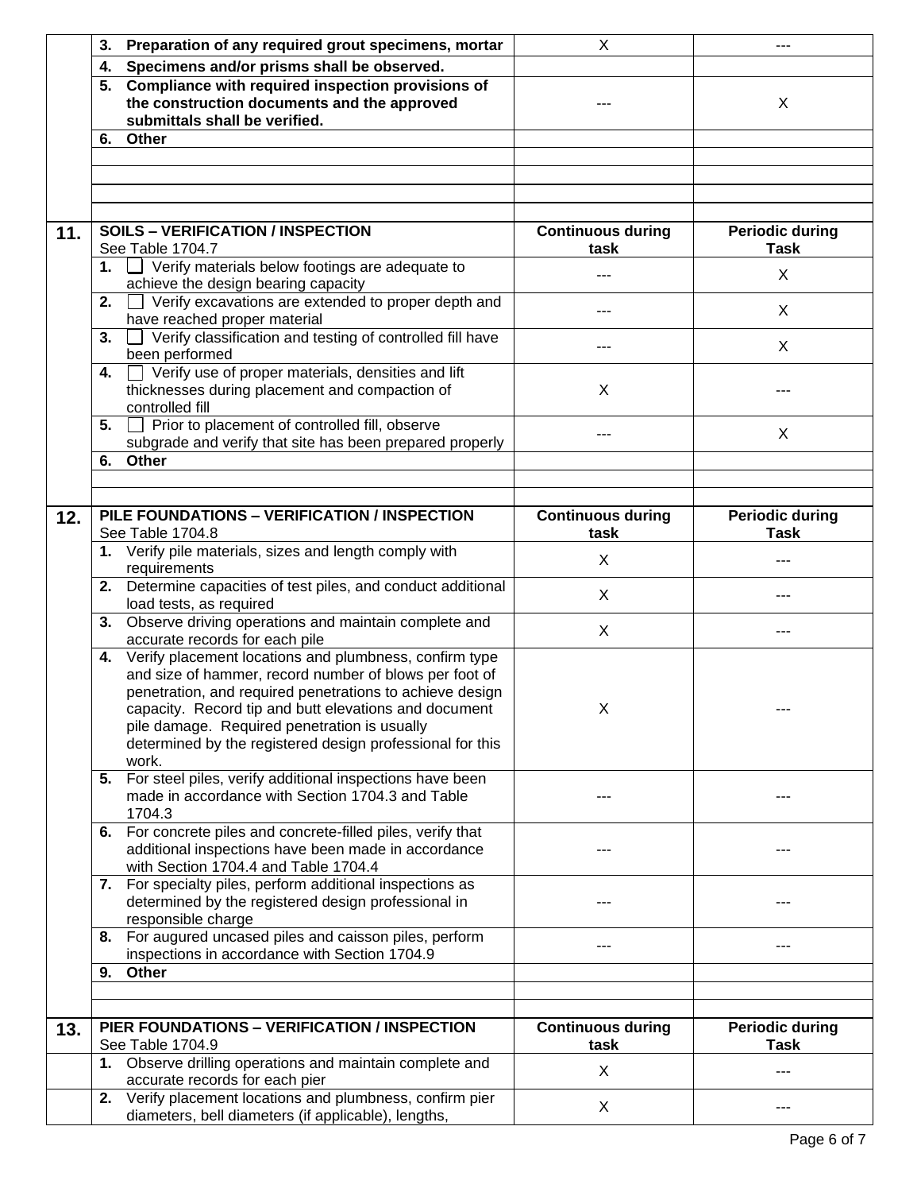|     | Preparation of any required grout specimens, mortar<br>3.                                                                                                                                                                                                                                                                                                      | X                                | ---                                   |
|-----|----------------------------------------------------------------------------------------------------------------------------------------------------------------------------------------------------------------------------------------------------------------------------------------------------------------------------------------------------------------|----------------------------------|---------------------------------------|
|     | Specimens and/or prisms shall be observed.<br>4.                                                                                                                                                                                                                                                                                                               |                                  |                                       |
|     | 5. Compliance with required inspection provisions of<br>the construction documents and the approved<br>submittals shall be verified.                                                                                                                                                                                                                           |                                  | X                                     |
|     | 6. Other                                                                                                                                                                                                                                                                                                                                                       |                                  |                                       |
|     |                                                                                                                                                                                                                                                                                                                                                                |                                  |                                       |
|     |                                                                                                                                                                                                                                                                                                                                                                |                                  |                                       |
|     |                                                                                                                                                                                                                                                                                                                                                                |                                  |                                       |
|     |                                                                                                                                                                                                                                                                                                                                                                |                                  |                                       |
| 11. | <b>SOILS - VERIFICATION / INSPECTION</b>                                                                                                                                                                                                                                                                                                                       | <b>Continuous during</b>         | <b>Periodic during</b>                |
|     | See Table 1704.7                                                                                                                                                                                                                                                                                                                                               | task                             | <b>Task</b>                           |
|     | 1. $\Box$ Verify materials below footings are adequate to<br>achieve the design bearing capacity                                                                                                                                                                                                                                                               |                                  | X                                     |
|     | 2. $\Box$ Verify excavations are extended to proper depth and<br>have reached proper material                                                                                                                                                                                                                                                                  | ---                              | X                                     |
|     | Verify classification and testing of controlled fill have<br>3.<br>been performed                                                                                                                                                                                                                                                                              | ---                              | X                                     |
|     | Verify use of proper materials, densities and lift<br>4.                                                                                                                                                                                                                                                                                                       |                                  |                                       |
|     | thicknesses during placement and compaction of                                                                                                                                                                                                                                                                                                                 | X                                |                                       |
|     | controlled fill                                                                                                                                                                                                                                                                                                                                                |                                  |                                       |
|     | Prior to placement of controlled fill, observe<br>5.<br>$\mathbf{1}$                                                                                                                                                                                                                                                                                           | ---                              | X                                     |
|     | subgrade and verify that site has been prepared properly                                                                                                                                                                                                                                                                                                       |                                  |                                       |
|     | Other<br>6.                                                                                                                                                                                                                                                                                                                                                    |                                  |                                       |
|     |                                                                                                                                                                                                                                                                                                                                                                |                                  |                                       |
| 12. | PILE FOUNDATIONS - VERIFICATION / INSPECTION<br>See Table 1704.8                                                                                                                                                                                                                                                                                               | <b>Continuous during</b><br>task | <b>Periodic during</b><br><b>Task</b> |
|     | 1. Verify pile materials, sizes and length comply with<br>requirements                                                                                                                                                                                                                                                                                         | X                                | ---                                   |
|     | Determine capacities of test piles, and conduct additional<br>2.<br>load tests, as required                                                                                                                                                                                                                                                                    | X                                | ---                                   |
|     | Observe driving operations and maintain complete and<br>3.<br>accurate records for each pile                                                                                                                                                                                                                                                                   | X                                | ---                                   |
|     | 4. Verify placement locations and plumbness, confirm type<br>and size of hammer, record number of blows per foot of<br>penetration, and required penetrations to achieve design<br>capacity. Record tip and butt elevations and document<br>pile damage. Required penetration is usually<br>determined by the registered design professional for this<br>work. | X.                               |                                       |
|     | 5. For steel piles, verify additional inspections have been<br>made in accordance with Section 1704.3 and Table<br>1704.3                                                                                                                                                                                                                                      |                                  | ---                                   |
|     | 6. For concrete piles and concrete-filled piles, verify that<br>additional inspections have been made in accordance<br>with Section 1704.4 and Table 1704.4                                                                                                                                                                                                    |                                  |                                       |
|     | 7. For specialty piles, perform additional inspections as<br>determined by the registered design professional in<br>responsible charge                                                                                                                                                                                                                         |                                  |                                       |
|     | For augured uncased piles and caisson piles, perform<br>8.<br>inspections in accordance with Section 1704.9                                                                                                                                                                                                                                                    | ---                              | ---                                   |
|     | Other<br>9.                                                                                                                                                                                                                                                                                                                                                    |                                  |                                       |
|     |                                                                                                                                                                                                                                                                                                                                                                |                                  |                                       |
| 13. | PIER FOUNDATIONS - VERIFICATION / INSPECTION<br>See Table 1704.9                                                                                                                                                                                                                                                                                               | <b>Continuous during</b><br>task | <b>Periodic during</b><br><b>Task</b> |
|     | 1. Observe drilling operations and maintain complete and<br>accurate records for each pier                                                                                                                                                                                                                                                                     | X                                | ---                                   |
|     | Verify placement locations and plumbness, confirm pier<br>2.<br>diameters, bell diameters (if applicable), lengths,                                                                                                                                                                                                                                            | X                                |                                       |